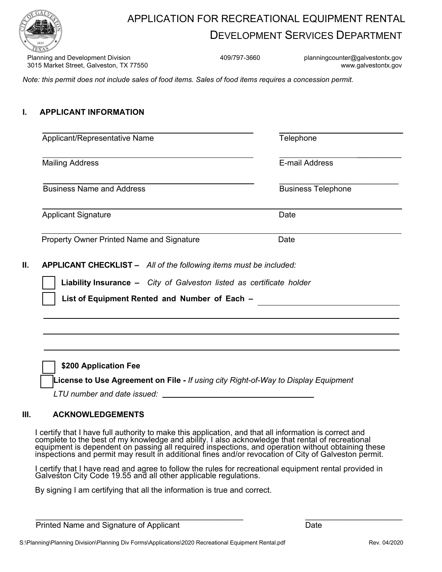

## APPLICATION FOR RECREATIONAL EQUIPMENT RENTAL DEVELOPMENT SERVICES DEPARTMENT

Planning and Development Division **Accord 2001** 409/797-3660 planningcounter@galvestontx.gov 3015 Market Street, Galveston, TX 77550 www.galvestontx.gov

*Note: this permit does not include sales of food items. Sales of food items requires a concession permit.*

## **I. APPLICANT INFORMATION**

| Applicant/Representative Name                                                                                                                     | Telephone<br>E-mail Address<br><b>Business Telephone</b> |  |
|---------------------------------------------------------------------------------------------------------------------------------------------------|----------------------------------------------------------|--|
| <b>Mailing Address</b>                                                                                                                            |                                                          |  |
| <b>Business Name and Address</b>                                                                                                                  |                                                          |  |
| <b>Applicant Signature</b>                                                                                                                        | Date                                                     |  |
| <b>Property Owner Printed Name and Signature</b>                                                                                                  | Date                                                     |  |
|                                                                                                                                                   |                                                          |  |
|                                                                                                                                                   |                                                          |  |
| <b>APPLICANT CHECKLIST -</b> All of the following items must be included:<br>Liability Insurance - City of Galveston listed as certificate holder |                                                          |  |

[ ] **\$200 Application Fee** 

[ ] **License to Use Agreement on File -** *If using city Right-of-Way to Display Equipment*

 *LTU number and date issued:* 

## **III. ACKNOWLEDGEMENTS**

I certify that I have full authority to make this application, and that all information is correct and complete to the best of my knowledge and ability. I also acknowledge that rental of recreational equipment is dependent on passing all required inspections, and operation without obtaining these inspections and permit may result in additional fines and/or revocation of City of Galveston permit.

I certify that I have read and agree to follow the rules for recreational equipment rental provided in Galveston City Code 19.55 and all other applicable regulations.

By signing I am certifying that all the information is true and correct.

| Printed Name and Signature of Applicant |  |
|-----------------------------------------|--|

 $\overline{\phantom{a}}$  , where  $\overline{\phantom{a}}$  , where  $\overline{\phantom{a}}$  , where  $\overline{\phantom{a}}$ **Date**